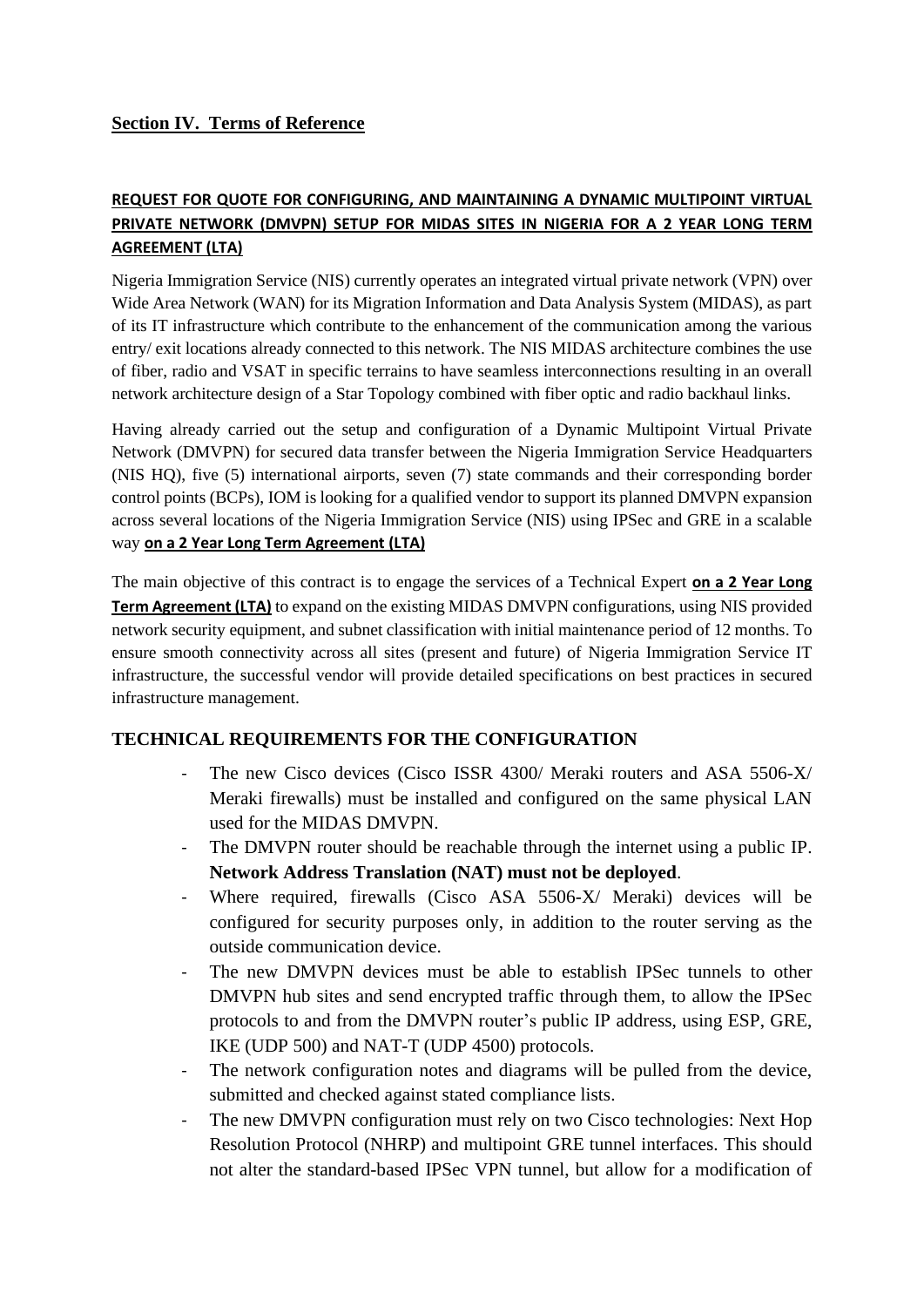## **Section IV. Terms of Reference**

## **REQUEST FOR QUOTE FOR CONFIGURING, AND MAINTAINING A DYNAMIC MULTIPOINT VIRTUAL PRIVATE NETWORK (DMVPN) SETUP FOR MIDAS SITES IN NIGERIA FOR A 2 YEAR LONG TERM AGREEMENT (LTA)**

Nigeria Immigration Service (NIS) currently operates an integrated virtual private network (VPN) over Wide Area Network (WAN) for its Migration Information and Data Analysis System (MIDAS), as part of its IT infrastructure which contribute to the enhancement of the communication among the various entry/ exit locations already connected to this network. The NIS MIDAS architecture combines the use of fiber, radio and VSAT in specific terrains to have seamless interconnections resulting in an overall network architecture design of a Star Topology combined with fiber optic and radio backhaul links.

Having already carried out the setup and configuration of a Dynamic Multipoint Virtual Private Network (DMVPN) for secured data transfer between the Nigeria Immigration Service Headquarters (NIS HQ), five (5) international airports, seven (7) state commands and their corresponding border control points (BCPs), IOM is looking for a qualified vendor to support its planned DMVPN expansion across several locations of the Nigeria Immigration Service (NIS) using IPSec and GRE in a scalable way **on a 2 Year Long Term Agreement (LTA)**

The main objective of this contract is to engage the services of a Technical Expert **on a 2 Year Long Term Agreement (LTA)** to expand on the existing MIDAS DMVPN configurations, using NIS provided network security equipment, and subnet classification with initial maintenance period of 12 months. To ensure smooth connectivity across all sites (present and future) of Nigeria Immigration Service IT infrastructure, the successful vendor will provide detailed specifications on best practices in secured infrastructure management.

## **TECHNICAL REQUIREMENTS FOR THE CONFIGURATION**

- The new Cisco devices (Cisco ISSR 4300/ Meraki routers and ASA 5506-X/ Meraki firewalls) must be installed and configured on the same physical LAN used for the MIDAS DMVPN.
- The DMVPN router should be reachable through the internet using a public IP. **Network Address Translation (NAT) must not be deployed**.
- Where required, firewalls (Cisco ASA 5506-X/ Meraki) devices will be configured for security purposes only, in addition to the router serving as the outside communication device.
- The new DMVPN devices must be able to establish IPSec tunnels to other DMVPN hub sites and send encrypted traffic through them, to allow the IPSec protocols to and from the DMVPN router's public IP address, using ESP, GRE, IKE (UDP 500) and NAT-T (UDP 4500) protocols.
- The network configuration notes and diagrams will be pulled from the device, submitted and checked against stated compliance lists.
- The new DMVPN configuration must rely on two Cisco technologies: Next Hop Resolution Protocol (NHRP) and multipoint GRE tunnel interfaces. This should not alter the standard-based IPSec VPN tunnel, but allow for a modification of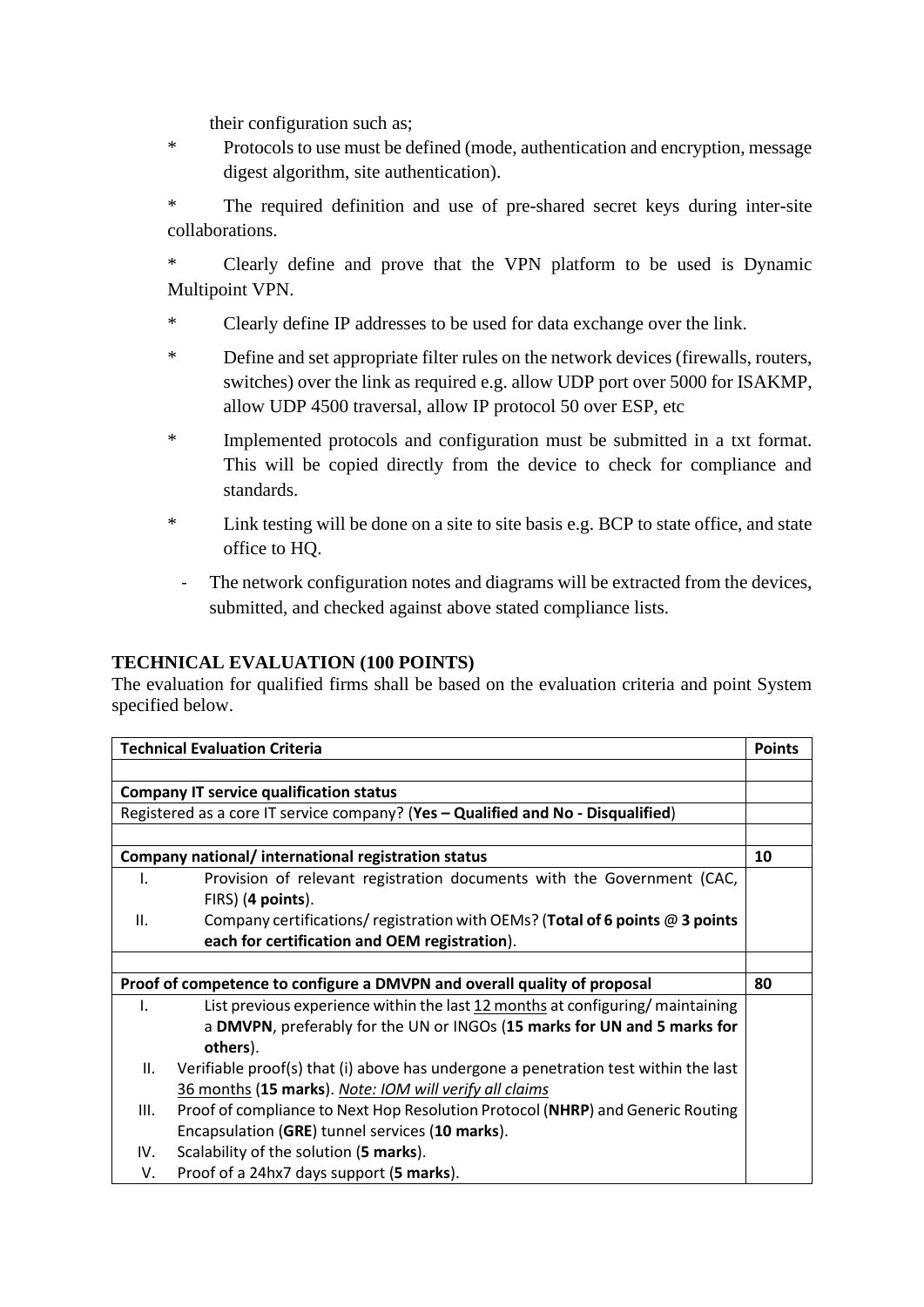their configuration such as;

\* Protocols to use must be defined (mode, authentication and encryption, message digest algorithm, site authentication).

\* The required definition and use of pre-shared secret keys during inter-site collaborations.

Clearly define and prove that the VPN platform to be used is Dynamic Multipoint VPN.

- \* Clearly define IP addresses to be used for data exchange over the link.
- \* Define and set appropriate filter rules on the network devices (firewalls, routers, switches) over the link as required e.g. allow UDP port over 5000 for ISAKMP, allow UDP 4500 traversal, allow IP protocol 50 over ESP, etc
- \* Implemented protocols and configuration must be submitted in a txt format. This will be copied directly from the device to check for compliance and standards.
- \* Link testing will be done on a site to site basis e.g. BCP to state office, and state office to HQ.
	- The network configuration notes and diagrams will be extracted from the devices, submitted, and checked against above stated compliance lists.

## **TECHNICAL EVALUATION (100 POINTS)**

The evaluation for qualified firms shall be based on the evaluation criteria and point System specified below.

| <b>Technical Evaluation Criteria</b>                                             |                                                                                     | <b>Points</b> |
|----------------------------------------------------------------------------------|-------------------------------------------------------------------------------------|---------------|
|                                                                                  |                                                                                     |               |
| <b>Company IT service qualification status</b>                                   |                                                                                     |               |
| Registered as a core IT service company? (Yes - Qualified and No - Disqualified) |                                                                                     |               |
|                                                                                  |                                                                                     |               |
| Company national/ international registration status                              |                                                                                     |               |
| Ι.                                                                               | Provision of relevant registration documents with the Government (CAC,              |               |
|                                                                                  | FIRS) (4 points).                                                                   |               |
| Ш.                                                                               | Company certifications/ registration with OEMs? (Total of 6 points @ 3 points       |               |
|                                                                                  | each for certification and OEM registration).                                       |               |
|                                                                                  |                                                                                     |               |
| Proof of competence to configure a DMVPN and overall quality of proposal         |                                                                                     |               |
| I.                                                                               | List previous experience within the last 12 months at configuring/maintaining       |               |
|                                                                                  | a DMVPN, preferably for the UN or INGOs (15 marks for UN and 5 marks for            |               |
|                                                                                  | others).                                                                            |               |
| ΙΙ.                                                                              | Verifiable proof(s) that (i) above has undergone a penetration test within the last |               |
|                                                                                  | 36 months (15 marks). Note: IOM will verify all claims                              |               |
| III.                                                                             | Proof of compliance to Next Hop Resolution Protocol (NHRP) and Generic Routing      |               |
|                                                                                  | Encapsulation (GRE) tunnel services (10 marks).                                     |               |
| IV.                                                                              | Scalability of the solution (5 marks).                                              |               |
| V.                                                                               | Proof of a 24hx7 days support (5 marks).                                            |               |